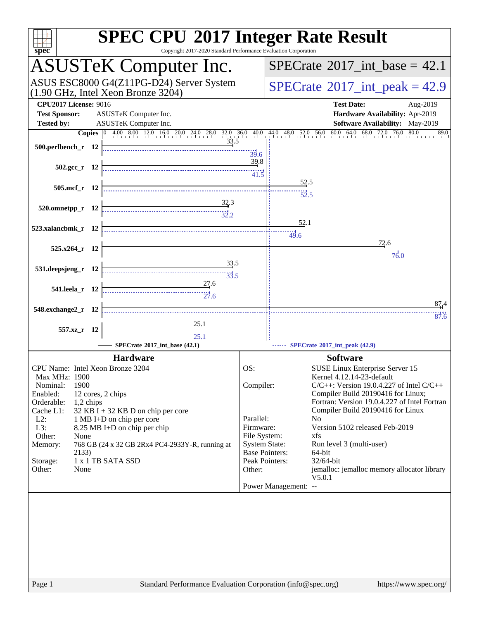| <b>SPEC CPU®2017 Integer Rate Result</b><br>Copyright 2017-2020 Standard Performance Evaluation Corporation<br>$spec^*$                                                              |                                               |                                                                                                            |
|--------------------------------------------------------------------------------------------------------------------------------------------------------------------------------------|-----------------------------------------------|------------------------------------------------------------------------------------------------------------|
| <b>ASUSTeK Computer Inc.</b>                                                                                                                                                         |                                               | $SPECTate@2017$ _int_base = 42.1                                                                           |
| ASUS ESC8000 G4(Z11PG-D24) Server System<br>$(1.90 \text{ GHz}, \text{Intel Xeon Bronze } 3204)$                                                                                     |                                               | $SPECTate^{\circ}2017$ _int_peak = 42.9                                                                    |
| <b>CPU2017 License: 9016</b><br><b>Test Sponsor:</b><br>ASUSTeK Computer Inc.<br><b>Tested by:</b><br>ASUSTeK Computer Inc.                                                          |                                               | <b>Test Date:</b><br>Aug-2019<br>Hardware Availability: Apr-2019<br><b>Software Availability:</b> May-2019 |
| <b>Copies</b> $\begin{bmatrix} 0 & 4.00 & 8.00 & 12.0 & 16.0 & 20.0 & 24.0 & 28.0 & 32.0 & 36.0 & 40.0 & 44.0 & 48.0 & 52.0 & 56.0 & 60.0 & 64.0 & 68.0 & 72.0 & 76.0 \end{bmatrix}$ |                                               | 80.0<br>89.0                                                                                               |
| <u>33.5</u><br>500.perlbench_r 12                                                                                                                                                    | 39.6                                          |                                                                                                            |
| $502.\text{gcc r}$ 12                                                                                                                                                                | 39.8<br>41.5                                  |                                                                                                            |
| 505.mcf r 12                                                                                                                                                                         |                                               | 52.5                                                                                                       |
|                                                                                                                                                                                      |                                               | 52.5                                                                                                       |
| $\frac{32.3}{32.2}$<br>520.omnetpp_r 12                                                                                                                                              |                                               |                                                                                                            |
|                                                                                                                                                                                      |                                               | 52.1                                                                                                       |
| 523.xalancbmk_r 12                                                                                                                                                                   |                                               | 49.6                                                                                                       |
| 525.x264 r 12                                                                                                                                                                        |                                               | 72.6                                                                                                       |
| 33.5                                                                                                                                                                                 |                                               | 76.0                                                                                                       |
| 531.deepsjeng_r 12<br>$\frac{1}{33.5}$                                                                                                                                               |                                               |                                                                                                            |
| 27.6<br>541.leela r 12<br>$\begin{array}{c c c c c} \hline \text{} & \text{} & \text{} \\ \hline \text{} & \text{} & \text{} \\ \hline \text{27.6} & & & \text{} \end{array}$        |                                               |                                                                                                            |
| 548.exchange2_r 12                                                                                                                                                                   |                                               | 87.4                                                                                                       |
|                                                                                                                                                                                      |                                               | 87.6                                                                                                       |
| 25.1<br>557.xz_r 12<br>$\overbrace{25.1}$                                                                                                                                            |                                               |                                                                                                            |
| SPECrate®2017_int_base (42.1)                                                                                                                                                        |                                               | SPECrate*2017_int_peak (42.9)                                                                              |
| <b>Hardware</b>                                                                                                                                                                      |                                               | <b>Software</b>                                                                                            |
| CPU Name: Intel Xeon Bronze 3204                                                                                                                                                     | OS:                                           | SUSE Linux Enterprise Server 15                                                                            |
| Max MHz: 1900<br>1900                                                                                                                                                                |                                               | Kernel 4.12.14-23-default<br>$C/C++$ : Version 19.0.4.227 of Intel $C/C++$                                 |
| Nominal:<br>Enabled:<br>12 cores, 2 chips                                                                                                                                            | Compiler:                                     | Compiler Build 20190416 for Linux;                                                                         |
| Orderable:<br>1,2 chips                                                                                                                                                              |                                               | Fortran: Version 19.0.4.227 of Intel Fortran                                                               |
| Cache L1:<br>$32$ KB I + 32 KB D on chip per core<br>$L2$ :<br>1 MB I+D on chip per core                                                                                             | Parallel:                                     | Compiler Build 20190416 for Linux<br>N <sub>0</sub>                                                        |
| L3:<br>8.25 MB I+D on chip per chip                                                                                                                                                  | Firmware:                                     | Version 5102 released Feb-2019                                                                             |
| Other:<br>None                                                                                                                                                                       | File System:                                  | xfs                                                                                                        |
| Memory:<br>768 GB (24 x 32 GB 2Rx4 PC4-2933Y-R, running at<br>2133)                                                                                                                  | <b>System State:</b><br><b>Base Pointers:</b> | Run level 3 (multi-user)<br>64-bit                                                                         |
| 1 x 1 TB SATA SSD<br>Storage:                                                                                                                                                        | Peak Pointers:                                | 32/64-bit                                                                                                  |
| Other:<br>None                                                                                                                                                                       | Other:                                        | jemalloc: jemalloc memory allocator library                                                                |
|                                                                                                                                                                                      |                                               | V5.0.1<br>Power Management: --                                                                             |
|                                                                                                                                                                                      |                                               |                                                                                                            |
|                                                                                                                                                                                      |                                               |                                                                                                            |
|                                                                                                                                                                                      |                                               |                                                                                                            |
|                                                                                                                                                                                      |                                               |                                                                                                            |
|                                                                                                                                                                                      |                                               |                                                                                                            |
|                                                                                                                                                                                      |                                               |                                                                                                            |
|                                                                                                                                                                                      |                                               |                                                                                                            |
| Standard Performance Evaluation Corporation (info@spec.org)<br>Page 1                                                                                                                |                                               | https://www.spec.org/                                                                                      |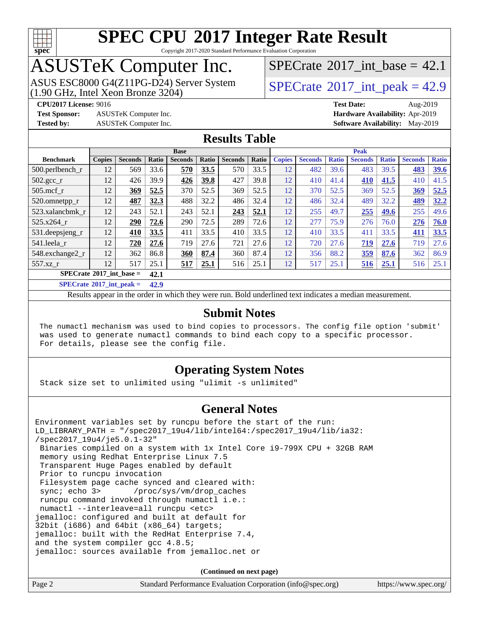

Copyright 2017-2020 Standard Performance Evaluation Corporation

## ASUSTeK Computer Inc.

(1.90 GHz, Intel Xeon Bronze 3204) ASUS ESC8000 G4(Z11PG-D24) Server System [SPECrate](http://www.spec.org/auto/cpu2017/Docs/result-fields.html#SPECrate2017intpeak)® 2017 int\_peak = 42.9

[SPECrate](http://www.spec.org/auto/cpu2017/Docs/result-fields.html#SPECrate2017intbase)®2017 int\_base = 42.1

**[Test Sponsor:](http://www.spec.org/auto/cpu2017/Docs/result-fields.html#TestSponsor)** ASUSTeK Computer Inc. **[Hardware Availability:](http://www.spec.org/auto/cpu2017/Docs/result-fields.html#HardwareAvailability)** Apr-2019

**[CPU2017 License:](http://www.spec.org/auto/cpu2017/Docs/result-fields.html#CPU2017License)** 9016 **[Test Date:](http://www.spec.org/auto/cpu2017/Docs/result-fields.html#TestDate)** Aug-2019 **[Tested by:](http://www.spec.org/auto/cpu2017/Docs/result-fields.html#Testedby)** ASUSTeK Computer Inc. **[Software Availability:](http://www.spec.org/auto/cpu2017/Docs/result-fields.html#SoftwareAvailability)** May-2019

#### **[Results Table](http://www.spec.org/auto/cpu2017/Docs/result-fields.html#ResultsTable)**

|                                           | <b>Base</b>   |                |              |                | <b>Peak</b> |                |       |               |                |              |                |              |                |              |
|-------------------------------------------|---------------|----------------|--------------|----------------|-------------|----------------|-------|---------------|----------------|--------------|----------------|--------------|----------------|--------------|
| <b>Benchmark</b>                          | <b>Copies</b> | <b>Seconds</b> | Ratio        | <b>Seconds</b> | Ratio       | <b>Seconds</b> | Ratio | <b>Copies</b> | <b>Seconds</b> | <b>Ratio</b> | <b>Seconds</b> | <b>Ratio</b> | <b>Seconds</b> | <b>Ratio</b> |
| $500.$ perlbench_r                        | 12            | 569            | 33.6         | 570            | 33.5        | 570            | 33.5  | 12            | 482            | 39.6         | 483            | 39.5         | 483            | 39.6         |
| $502.\text{gcc\_r}$                       | 12            | 426            | 39.9         | 426            | 39.8        | 427            | 39.8  | 12            | 410            | 41.4         | 410            | 41.5         | 410            | 41.5         |
| $505$ .mcf r                              | 12            | 369            | 52.5         | 370            | 52.5        | 369            | 52.5  | 12            | 370            | 52.5         | 369            | 52.5         | 369            | 52.5         |
| 520.omnetpp_r                             | 12            | 487            | 32.3         | 488            | 32.2        | 486            | 32.4  | 12            | 486            | 32.4         | 489            | 32.2         | 489            | 32.2         |
| 523.xalancbmk r                           | 12            | 243            | 52.1         | 243            | 52.1        | 243            | 52.1  | 12            | 255            | 49.7         | 255            | 49.6         | 255            | 49.6         |
| 525.x264 r                                | 12            | 290            | 72.6         | 290            | 72.5        | 289            | 72.6  | 12            | 277            | 75.9         | 276            | 76.0         | 276            | 76.0         |
| 531.deepsjeng_r                           | 12            | 410            | 33.5         | 411            | 33.5        | 410            | 33.5  | 12            | 410            | 33.5         | 411            | 33.5         | 411            | 33.5         |
| 541.leela r                               | 12            | 720            | 27.6         | 719            | 27.6        | 721            | 27.6  | 12            | 720            | 27.6         | 719            | 27.6         | 719            | 27.6         |
| 548.exchange2_r                           | 12            | 362            | 86.8         | 360            | 87.4        | 360            | 87.4  | 12            | 356            | 88.2         | 359            | 87.6         | 362            | 86.9         |
| 557.xz r                                  | 12            | 517            | 25.1         | 517            | 25.1        | 516            | 25.1  | 12            | 517            | 25.1         | 516            | 25.1         | 516            | 25.1         |
| $SPECrate^{\circ}2017$ int base =<br>42.1 |               |                |              |                |             |                |       |               |                |              |                |              |                |              |
| $CDDCA_{11}$ $4.02017$ $1.4$ $1.1$        |               |                | $\mathbf{A}$ |                |             |                |       |               |                |              |                |              |                |              |

**[SPECrate](http://www.spec.org/auto/cpu2017/Docs/result-fields.html#SPECrate2017intpeak)[2017\\_int\\_peak =](http://www.spec.org/auto/cpu2017/Docs/result-fields.html#SPECrate2017intpeak) 42.9**

Results appear in the [order in which they were run](http://www.spec.org/auto/cpu2017/Docs/result-fields.html#RunOrder). Bold underlined text [indicates a median measurement](http://www.spec.org/auto/cpu2017/Docs/result-fields.html#Median).

#### **[Submit Notes](http://www.spec.org/auto/cpu2017/Docs/result-fields.html#SubmitNotes)**

 The numactl mechanism was used to bind copies to processors. The config file option 'submit' was used to generate numactl commands to bind each copy to a specific processor. For details, please see the config file.

#### **[Operating System Notes](http://www.spec.org/auto/cpu2017/Docs/result-fields.html#OperatingSystemNotes)**

Stack size set to unlimited using "ulimit -s unlimited"

#### **[General Notes](http://www.spec.org/auto/cpu2017/Docs/result-fields.html#GeneralNotes)**

Environment variables set by runcpu before the start of the run: LD\_LIBRARY\_PATH = "/spec2017\_19u4/lib/intel64:/spec2017\_19u4/lib/ia32: /spec2017\_19u4/je5.0.1-32" Binaries compiled on a system with 1x Intel Core i9-799X CPU + 32GB RAM memory using Redhat Enterprise Linux 7.5 Transparent Huge Pages enabled by default Prior to runcpu invocation Filesystem page cache synced and cleared with: sync; echo 3> /proc/sys/vm/drop\_caches runcpu command invoked through numactl i.e.: numactl --interleave=all runcpu <etc> jemalloc: configured and built at default for 32bit (i686) and 64bit (x86\_64) targets; jemalloc: built with the RedHat Enterprise 7.4, and the system compiler gcc 4.8.5; jemalloc: sources available from jemalloc.net or

**(Continued on next page)**

| Page 2 | Standard Performance Evaluation Corporation (info@spec.org) | https://www.spec.org/ |
|--------|-------------------------------------------------------------|-----------------------|
|--------|-------------------------------------------------------------|-----------------------|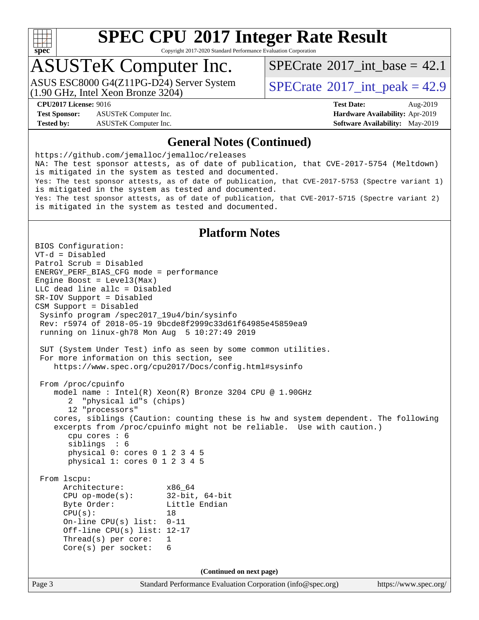

Copyright 2017-2020 Standard Performance Evaluation Corporation

## ASUSTeK Computer Inc.

(1.90 GHz, Intel Xeon Bronze 3204) ASUS ESC8000 G4(Z11PG-D24) Server System  $SPECrate^{\circ}2017$  $SPECrate^{\circ}2017$  int peak = 42.9

[SPECrate](http://www.spec.org/auto/cpu2017/Docs/result-fields.html#SPECrate2017intbase)®2017 int\_base = 42.1

**[Test Sponsor:](http://www.spec.org/auto/cpu2017/Docs/result-fields.html#TestSponsor)** ASUSTeK Computer Inc. **[Hardware Availability:](http://www.spec.org/auto/cpu2017/Docs/result-fields.html#HardwareAvailability)** Apr-2019 **[Tested by:](http://www.spec.org/auto/cpu2017/Docs/result-fields.html#Testedby)** ASUSTeK Computer Inc. **[Software Availability:](http://www.spec.org/auto/cpu2017/Docs/result-fields.html#SoftwareAvailability)** May-2019

**[CPU2017 License:](http://www.spec.org/auto/cpu2017/Docs/result-fields.html#CPU2017License)** 9016 **[Test Date:](http://www.spec.org/auto/cpu2017/Docs/result-fields.html#TestDate)** Aug-2019

#### **[General Notes \(Continued\)](http://www.spec.org/auto/cpu2017/Docs/result-fields.html#GeneralNotes)**

<https://github.com/jemalloc/jemalloc/releases> NA: The test sponsor attests, as of date of publication, that CVE-2017-5754 (Meltdown) is mitigated in the system as tested and documented. Yes: The test sponsor attests, as of date of publication, that CVE-2017-5753 (Spectre variant 1) is mitigated in the system as tested and documented. Yes: The test sponsor attests, as of date of publication, that CVE-2017-5715 (Spectre variant 2) is mitigated in the system as tested and documented.

#### **[Platform Notes](http://www.spec.org/auto/cpu2017/Docs/result-fields.html#PlatformNotes)**

Page 3 Standard Performance Evaluation Corporation [\(info@spec.org\)](mailto:info@spec.org) <https://www.spec.org/> BIOS Configuration: VT-d = Disabled Patrol Scrub = Disabled ENERGY\_PERF\_BIAS\_CFG mode = performance Engine Boost = Level3(Max) LLC dead line allc = Disabled SR-IOV Support = Disabled CSM Support = Disabled Sysinfo program /spec2017\_19u4/bin/sysinfo Rev: r5974 of 2018-05-19 9bcde8f2999c33d61f64985e45859ea9 running on linux-gh78 Mon Aug 5 10:27:49 2019 SUT (System Under Test) info as seen by some common utilities. For more information on this section, see <https://www.spec.org/cpu2017/Docs/config.html#sysinfo> From /proc/cpuinfo model name : Intel(R) Xeon(R) Bronze 3204 CPU @ 1.90GHz 2 "physical id"s (chips) 12 "processors" cores, siblings (Caution: counting these is hw and system dependent. The following excerpts from /proc/cpuinfo might not be reliable. Use with caution.) cpu cores : 6 siblings : 6 physical 0: cores 0 1 2 3 4 5 physical 1: cores 0 1 2 3 4 5 From lscpu: Architecture: x86\_64 CPU op-mode(s): 32-bit, 64-bit Byte Order: Little Endian  $CPU(s):$  18 On-line CPU(s) list: 0-11 Off-line CPU(s) list: 12-17 Thread(s) per core: 1 Core(s) per socket: 6 **(Continued on next page)**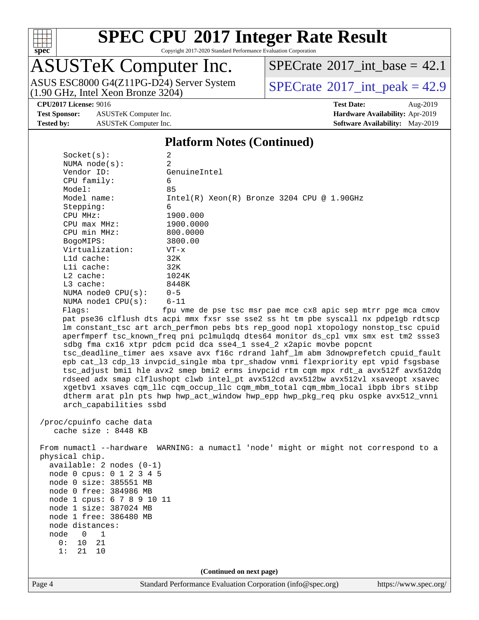

Copyright 2017-2020 Standard Performance Evaluation Corporation

## ASUSTeK Computer Inc.

(1.90 GHz, Intel Xeon Bronze 3204) ASUS ESC8000 G4(Z11PG-D24) Server System  $SPECrate^{\circ}2017\_int\_peak = 42.9$  $SPECrate^{\circ}2017\_int\_peak = 42.9$ 

[SPECrate](http://www.spec.org/auto/cpu2017/Docs/result-fields.html#SPECrate2017intbase)<sup>®</sup>2017 int\_base = 42.1

**[Test Sponsor:](http://www.spec.org/auto/cpu2017/Docs/result-fields.html#TestSponsor)** ASUSTeK Computer Inc. **[Hardware Availability:](http://www.spec.org/auto/cpu2017/Docs/result-fields.html#HardwareAvailability)** Apr-2019 **[Tested by:](http://www.spec.org/auto/cpu2017/Docs/result-fields.html#Testedby)** ASUSTeK Computer Inc. **[Software Availability:](http://www.spec.org/auto/cpu2017/Docs/result-fields.html#SoftwareAvailability)** May-2019

**[CPU2017 License:](http://www.spec.org/auto/cpu2017/Docs/result-fields.html#CPU2017License)** 9016 **[Test Date:](http://www.spec.org/auto/cpu2017/Docs/result-fields.html#TestDate)** Aug-2019

#### **[Platform Notes \(Continued\)](http://www.spec.org/auto/cpu2017/Docs/result-fields.html#PlatformNotes)**

| Socket(s):                 | 2                                                                                    |
|----------------------------|--------------------------------------------------------------------------------------|
| NUMA $node(s):$            | $\overline{2}$                                                                       |
| Vendor ID:                 | GenuineIntel                                                                         |
| CPU family:                | 6                                                                                    |
| Model:                     | 85                                                                                   |
| Model name:                | $Intel(R) Xeon(R) Bronze 3204 CPU @ 1.90GHz$                                         |
| Stepping:                  | 6                                                                                    |
| CPU MHz:                   | 1900.000                                                                             |
| $CPU$ max $MHz$ :          | 1900.0000                                                                            |
| CPU min MHz:               | 800.0000                                                                             |
| BogoMIPS:                  | 3800.00                                                                              |
| Virtualization:            | $VT - x$                                                                             |
| Lld cache:                 | 32K                                                                                  |
| Lli cache:                 | 32K                                                                                  |
| $L2$ cache:                | 1024K                                                                                |
| L3 cache:                  | 8448K                                                                                |
| NUMA $node0$ $CPU(s)$ :    | $0 - 5$                                                                              |
| NUMA nodel CPU(s):         | $6 - 11$                                                                             |
| Flaqs:                     | fpu vme de pse tsc msr pae mce cx8 apic sep mtrr pge mca cmov                        |
|                            | pat pse36 clflush dts acpi mmx fxsr sse sse2 ss ht tm pbe syscall nx pdpelgb rdtscp  |
|                            | lm constant_tsc art arch_perfmon pebs bts rep_good nopl xtopology nonstop_tsc cpuid  |
|                            | aperfmperf tsc_known_freq pni pclmulqdq dtes64 monitor ds_cpl vmx smx est tm2 ssse3  |
|                            | sdbg fma cx16 xtpr pdcm pcid dca sse4_1 sse4_2 x2apic movbe popcnt                   |
|                            | tsc_deadline_timer aes xsave avx f16c rdrand lahf_lm abm 3dnowprefetch cpuid_fault   |
|                            | epb cat_13 cdp_13 invpcid_single mba tpr_shadow vnmi flexpriority ept vpid fsgsbase  |
|                            | tsc_adjust bmil hle avx2 smep bmi2 erms invpcid rtm cqm mpx rdt_a avx512f avx512dq   |
|                            | rdseed adx smap clflushopt clwb intel_pt avx512cd avx512bw avx512vl xsaveopt xsavec  |
|                            | xgetbvl xsaves cqm_llc cqm_occup_llc cqm_mbm_total cqm_mbm_local ibpb ibrs stibp     |
|                            | dtherm arat pln pts hwp hwp_act_window hwp_epp hwp_pkg_req pku ospke avx512_vnni     |
| arch_capabilities ssbd     |                                                                                      |
|                            |                                                                                      |
| /proc/cpuinfo cache data   |                                                                                      |
| cache size : 8448 KB       |                                                                                      |
|                            |                                                                                      |
|                            | From numactl --hardware WARNING: a numactl 'node' might or might not correspond to a |
| physical chip.             |                                                                                      |
| available: 2 nodes (0-1)   |                                                                                      |
| node 0 cpus: 0 1 2 3 4 5   |                                                                                      |
| node 0 size: 385551 MB     |                                                                                      |
| node 0 free: 384986 MB     |                                                                                      |
| node 1 cpus: 6 7 8 9 10 11 |                                                                                      |
| node 1 size: 387024 MB     |                                                                                      |
| node 1 free: 386480 MB     |                                                                                      |
| node distances:            |                                                                                      |
| node<br>1<br>0             |                                                                                      |
| 21<br>0:<br>10             |                                                                                      |

**(Continued on next page)**

1: 21 10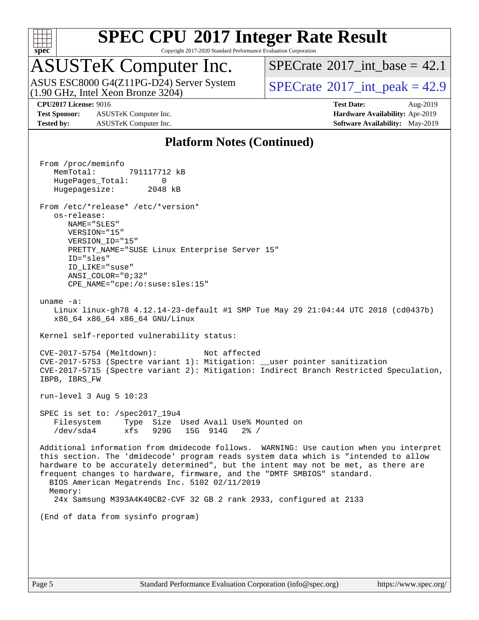

Copyright 2017-2020 Standard Performance Evaluation Corporation

## ASUSTeK Computer Inc.

(1.90 GHz, Intel Xeon Bronze 3204) ASUS ESC8000 G4(Z11PG-D24) Server System  $SPECrate^{\circ}2017$  $SPECrate^{\circ}2017$  int peak = 42.9

[SPECrate](http://www.spec.org/auto/cpu2017/Docs/result-fields.html#SPECrate2017intbase)®2017 int\_base = 42.1

**[Test Sponsor:](http://www.spec.org/auto/cpu2017/Docs/result-fields.html#TestSponsor)** ASUSTeK Computer Inc. **[Hardware Availability:](http://www.spec.org/auto/cpu2017/Docs/result-fields.html#HardwareAvailability)** Apr-2019 **[Tested by:](http://www.spec.org/auto/cpu2017/Docs/result-fields.html#Testedby)** ASUSTeK Computer Inc. **[Software Availability:](http://www.spec.org/auto/cpu2017/Docs/result-fields.html#SoftwareAvailability)** May-2019

**[CPU2017 License:](http://www.spec.org/auto/cpu2017/Docs/result-fields.html#CPU2017License)** 9016 **[Test Date:](http://www.spec.org/auto/cpu2017/Docs/result-fields.html#TestDate)** Aug-2019

#### **[Platform Notes \(Continued\)](http://www.spec.org/auto/cpu2017/Docs/result-fields.html#PlatformNotes)**

 From /proc/meminfo MemTotal: 791117712 kB HugePages\_Total: 0 Hugepagesize: 2048 kB From /etc/\*release\* /etc/\*version\* os-release: NAME="SLES" VERSION="15" VERSION\_ID="15" PRETTY NAME="SUSE Linux Enterprise Server 15" ID="sles" ID\_LIKE="suse" ANSI\_COLOR="0;32" CPE\_NAME="cpe:/o:suse:sles:15" uname -a: Linux linux-gh78 4.12.14-23-default #1 SMP Tue May 29 21:04:44 UTC 2018 (cd0437b) x86\_64 x86\_64 x86\_64 GNU/Linux Kernel self-reported vulnerability status: CVE-2017-5754 (Meltdown): Not affected CVE-2017-5753 (Spectre variant 1): Mitigation: \_\_user pointer sanitization CVE-2017-5715 (Spectre variant 2): Mitigation: Indirect Branch Restricted Speculation, IBPB, IBRS\_FW run-level 3 Aug 5 10:23 SPEC is set to: /spec2017\_19u4 Filesystem Type Size Used Avail Use% Mounted on /dev/sda4 xfs 929G 15G 914G 2% / Additional information from dmidecode follows. WARNING: Use caution when you interpret this section. The 'dmidecode' program reads system data which is "intended to allow hardware to be accurately determined", but the intent may not be met, as there are frequent changes to hardware, firmware, and the "DMTF SMBIOS" standard. BIOS American Megatrends Inc. 5102 02/11/2019 Memory: 24x Samsung M393A4K40CB2-CVF 32 GB 2 rank 2933, configured at 2133 (End of data from sysinfo program)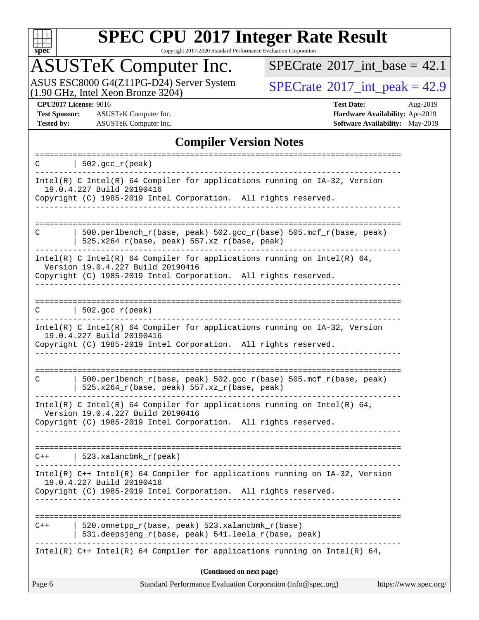

Copyright 2017-2020 Standard Performance Evaluation Corporation

## ASUSTeK Computer Inc.

ASUS ESC8000 G4(Z11PG-D24) Server System  $(1.90 \text{ GHz}, \text{ Intel Xeon Bronze } 3204)$   $\big|$  [SPECrate](http://www.spec.org/auto/cpu2017/Docs/result-fields.html#SPECrate2017intpeak)®[2017\\_int\\_peak =](http://www.spec.org/auto/cpu2017/Docs/result-fields.html#SPECrate2017intpeak) 42.9

 $SPECTate$ <sup>®</sup>[2017\\_int\\_base =](http://www.spec.org/auto/cpu2017/Docs/result-fields.html#SPECrate2017intbase) 42.1

**[Test Sponsor:](http://www.spec.org/auto/cpu2017/Docs/result-fields.html#TestSponsor)** ASUSTeK Computer Inc. **[Hardware Availability:](http://www.spec.org/auto/cpu2017/Docs/result-fields.html#HardwareAvailability)** Apr-2019 **[Tested by:](http://www.spec.org/auto/cpu2017/Docs/result-fields.html#Testedby)** ASUSTeK Computer Inc. **[Software Availability:](http://www.spec.org/auto/cpu2017/Docs/result-fields.html#SoftwareAvailability)** May-2019

**[CPU2017 License:](http://www.spec.org/auto/cpu2017/Docs/result-fields.html#CPU2017License)** 9016 **[Test Date:](http://www.spec.org/auto/cpu2017/Docs/result-fields.html#TestDate)** Aug-2019

#### **[Compiler Version Notes](http://www.spec.org/auto/cpu2017/Docs/result-fields.html#CompilerVersionNotes)**

| C      | $  502.\text{sec}_r(\text{peak})$                                                                                                                                                 |                       |
|--------|-----------------------------------------------------------------------------------------------------------------------------------------------------------------------------------|-----------------------|
|        | Intel(R) C Intel(R) 64 Compiler for applications running on $IA-32$ , Version<br>19.0.4.227 Build 20190416<br>Copyright (C) 1985-2019 Intel Corporation. All rights reserved.     |                       |
|        |                                                                                                                                                                                   |                       |
| C      | $500.perlbench_r(base, peak) 502.sec_r(base) 505.mcf_r(base, peak)$<br>525.x264_r(base, peak) 557.xz_r(base, peak)                                                                |                       |
|        | Intel(R) C Intel(R) 64 Compiler for applications running on Intel(R) 64,<br>Version 19.0.4.227 Build 20190416<br>Copyright (C) 1985-2019 Intel Corporation. All rights reserved.  |                       |
|        |                                                                                                                                                                                   |                       |
| C      | $\vert$ 502.gcc_r(peak)                                                                                                                                                           |                       |
|        | Intel(R) C Intel(R) 64 Compiler for applications running on IA-32, Version<br>19.0.4.227 Build 20190416<br>Copyright (C) 1985-2019 Intel Corporation. All rights reserved.        |                       |
|        | .                                                                                                                                                                                 |                       |
| C      | 500.perlbench_r(base, peak) 502.gcc_r(base) 505.mcf_r(base, peak)<br>525.x264_r(base, peak) 557.xz_r(base, peak)                                                                  |                       |
|        | Intel(R) C Intel(R) 64 Compiler for applications running on Intel(R) 64,<br>Version 19.0.4.227 Build 20190416                                                                     |                       |
|        | Copyright (C) 1985-2019 Intel Corporation. All rights reserved.                                                                                                                   |                       |
|        | $C++$   523.xalancbmk_r(peak)                                                                                                                                                     |                       |
|        | Intel(R) $C++$ Intel(R) 64 Compiler for applications running on $IA-32$ , Version<br>19.0.4.227 Build 20190416<br>Copyright (C) 1985-2019 Intel Corporation. All rights reserved. |                       |
|        |                                                                                                                                                                                   |                       |
| $C++$  | 520.omnetpp_r(base, peak) 523.xalancbmk_r(base)<br>531.deepsjeng_r(base, peak) 541.leela_r(base, peak)                                                                            |                       |
|        | Intel(R) $C++$ Intel(R) 64 Compiler for applications running on Intel(R) 64,                                                                                                      |                       |
|        | (Continued on next page)                                                                                                                                                          |                       |
| Page 6 | Standard Performance Evaluation Corporation (info@spec.org)                                                                                                                       | https://www.spec.org/ |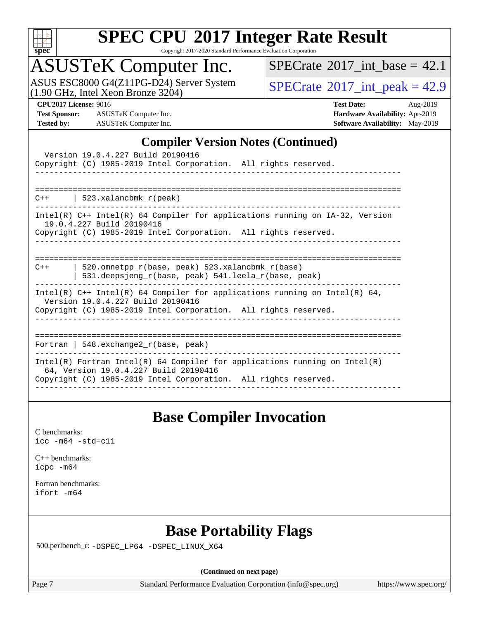

Copyright 2017-2020 Standard Performance Evaluation Corporation

## ASUSTeK Computer Inc.

ASUS ESC8000 G4(Z11PG-D24) Server System<br>(1.90 GHz, Intel Xeon Bronze 3204)

 $SPECTate@2017_int\_base = 42.1$ 

 $SPECTate@2017_int\_peak = 42.9$ 

**[Test Sponsor:](http://www.spec.org/auto/cpu2017/Docs/result-fields.html#TestSponsor)** ASUSTeK Computer Inc. **[Hardware Availability:](http://www.spec.org/auto/cpu2017/Docs/result-fields.html#HardwareAvailability)** Apr-2019 **[Tested by:](http://www.spec.org/auto/cpu2017/Docs/result-fields.html#Testedby)** ASUSTeK Computer Inc. **[Software Availability:](http://www.spec.org/auto/cpu2017/Docs/result-fields.html#SoftwareAvailability)** May-2019

**[CPU2017 License:](http://www.spec.org/auto/cpu2017/Docs/result-fields.html#CPU2017License)** 9016 **[Test Date:](http://www.spec.org/auto/cpu2017/Docs/result-fields.html#TestDate)** Aug-2019

#### **[Compiler Version Notes \(Continued\)](http://www.spec.org/auto/cpu2017/Docs/result-fields.html#CompilerVersionNotes)**

| Version 19.0.4.227 Build 20190416<br>Copyright (C) 1985-2019 Intel Corporation. All rights reserved.                                                                                   |
|----------------------------------------------------------------------------------------------------------------------------------------------------------------------------------------|
| $C++$   523.xalancbmk_r(peak)                                                                                                                                                          |
| Intel(R) C++ Intel(R) 64 Compiler for applications running on IA-32, Version<br>19.0.4.227 Build 20190416<br>Copyright (C) 1985-2019 Intel Corporation. All rights reserved.           |
| 520.omnetpp $r(base, peak)$ 523.xalancbmk $r(base)$<br>$C++$<br>531.deepsjeng_r(base, peak) 541.leela_r(base, peak)                                                                    |
| Intel(R) $C++$ Intel(R) 64 Compiler for applications running on Intel(R) 64,<br>Version 19.0.4.227 Build 20190416<br>Copyright (C) 1985-2019 Intel Corporation. All rights reserved.   |
| Fortran   548.exchange2 $r(base, peak)$                                                                                                                                                |
| Intel(R) Fortran Intel(R) 64 Compiler for applications running on Intel(R)<br>64, Version 19.0.4.227 Build 20190416<br>Copyright (C) 1985-2019 Intel Corporation. All rights reserved. |

#### **[Base Compiler Invocation](http://www.spec.org/auto/cpu2017/Docs/result-fields.html#BaseCompilerInvocation)**

[C benchmarks](http://www.spec.org/auto/cpu2017/Docs/result-fields.html#Cbenchmarks): [icc -m64 -std=c11](http://www.spec.org/cpu2017/results/res2019q3/cpu2017-20190826-17235.flags.html#user_CCbase_intel_icc_64bit_c11_33ee0cdaae7deeeab2a9725423ba97205ce30f63b9926c2519791662299b76a0318f32ddfffdc46587804de3178b4f9328c46fa7c2b0cd779d7a61945c91cd35)

[C++ benchmarks:](http://www.spec.org/auto/cpu2017/Docs/result-fields.html#CXXbenchmarks) [icpc -m64](http://www.spec.org/cpu2017/results/res2019q3/cpu2017-20190826-17235.flags.html#user_CXXbase_intel_icpc_64bit_4ecb2543ae3f1412ef961e0650ca070fec7b7afdcd6ed48761b84423119d1bf6bdf5cad15b44d48e7256388bc77273b966e5eb805aefd121eb22e9299b2ec9d9)

[Fortran benchmarks](http://www.spec.org/auto/cpu2017/Docs/result-fields.html#Fortranbenchmarks): [ifort -m64](http://www.spec.org/cpu2017/results/res2019q3/cpu2017-20190826-17235.flags.html#user_FCbase_intel_ifort_64bit_24f2bb282fbaeffd6157abe4f878425411749daecae9a33200eee2bee2fe76f3b89351d69a8130dd5949958ce389cf37ff59a95e7a40d588e8d3a57e0c3fd751)

### **[Base Portability Flags](http://www.spec.org/auto/cpu2017/Docs/result-fields.html#BasePortabilityFlags)**

500.perlbench\_r: [-DSPEC\\_LP64](http://www.spec.org/cpu2017/results/res2019q3/cpu2017-20190826-17235.flags.html#b500.perlbench_r_basePORTABILITY_DSPEC_LP64) [-DSPEC\\_LINUX\\_X64](http://www.spec.org/cpu2017/results/res2019q3/cpu2017-20190826-17235.flags.html#b500.perlbench_r_baseCPORTABILITY_DSPEC_LINUX_X64)

**(Continued on next page)**

Page 7 Standard Performance Evaluation Corporation [\(info@spec.org\)](mailto:info@spec.org) <https://www.spec.org/>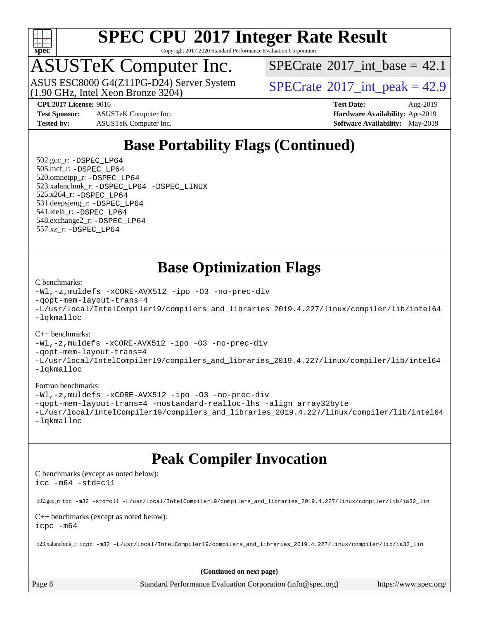

Copyright 2017-2020 Standard Performance Evaluation Corporation

## ASUSTeK Computer Inc.

(1.90 GHz, Intel Xeon Bronze 3204) ASUS ESC8000 G4(Z11PG-D24) Server System [SPECrate](http://www.spec.org/auto/cpu2017/Docs/result-fields.html#SPECrate2017intpeak)® 2017 int\_peak = 42.9

[SPECrate](http://www.spec.org/auto/cpu2017/Docs/result-fields.html#SPECrate2017intbase)®2017 int\_base = 42.1

**[Test Sponsor:](http://www.spec.org/auto/cpu2017/Docs/result-fields.html#TestSponsor)** ASUSTeK Computer Inc. **[Hardware Availability:](http://www.spec.org/auto/cpu2017/Docs/result-fields.html#HardwareAvailability)** Apr-2019 **[Tested by:](http://www.spec.org/auto/cpu2017/Docs/result-fields.html#Testedby)** ASUSTeK Computer Inc. **[Software Availability:](http://www.spec.org/auto/cpu2017/Docs/result-fields.html#SoftwareAvailability)** May-2019

**[CPU2017 License:](http://www.spec.org/auto/cpu2017/Docs/result-fields.html#CPU2017License)** 9016 **[Test Date:](http://www.spec.org/auto/cpu2017/Docs/result-fields.html#TestDate)** Aug-2019

## **[Base Portability Flags \(Continued\)](http://www.spec.org/auto/cpu2017/Docs/result-fields.html#BasePortabilityFlags)**

 502.gcc\_r: [-DSPEC\\_LP64](http://www.spec.org/cpu2017/results/res2019q3/cpu2017-20190826-17235.flags.html#suite_basePORTABILITY502_gcc_r_DSPEC_LP64) 505.mcf\_r: [-DSPEC\\_LP64](http://www.spec.org/cpu2017/results/res2019q3/cpu2017-20190826-17235.flags.html#suite_basePORTABILITY505_mcf_r_DSPEC_LP64) 520.omnetpp\_r: [-DSPEC\\_LP64](http://www.spec.org/cpu2017/results/res2019q3/cpu2017-20190826-17235.flags.html#suite_basePORTABILITY520_omnetpp_r_DSPEC_LP64) 523.xalancbmk\_r: [-DSPEC\\_LP64](http://www.spec.org/cpu2017/results/res2019q3/cpu2017-20190826-17235.flags.html#suite_basePORTABILITY523_xalancbmk_r_DSPEC_LP64) [-DSPEC\\_LINUX](http://www.spec.org/cpu2017/results/res2019q3/cpu2017-20190826-17235.flags.html#b523.xalancbmk_r_baseCXXPORTABILITY_DSPEC_LINUX) 525.x264\_r: [-DSPEC\\_LP64](http://www.spec.org/cpu2017/results/res2019q3/cpu2017-20190826-17235.flags.html#suite_basePORTABILITY525_x264_r_DSPEC_LP64) 531.deepsjeng\_r: [-DSPEC\\_LP64](http://www.spec.org/cpu2017/results/res2019q3/cpu2017-20190826-17235.flags.html#suite_basePORTABILITY531_deepsjeng_r_DSPEC_LP64) 541.leela\_r: [-DSPEC\\_LP64](http://www.spec.org/cpu2017/results/res2019q3/cpu2017-20190826-17235.flags.html#suite_basePORTABILITY541_leela_r_DSPEC_LP64) 548.exchange2\_r: [-DSPEC\\_LP64](http://www.spec.org/cpu2017/results/res2019q3/cpu2017-20190826-17235.flags.html#suite_basePORTABILITY548_exchange2_r_DSPEC_LP64) 557.xz\_r: [-DSPEC\\_LP64](http://www.spec.org/cpu2017/results/res2019q3/cpu2017-20190826-17235.flags.html#suite_basePORTABILITY557_xz_r_DSPEC_LP64)

### **[Base Optimization Flags](http://www.spec.org/auto/cpu2017/Docs/result-fields.html#BaseOptimizationFlags)**

#### [C benchmarks](http://www.spec.org/auto/cpu2017/Docs/result-fields.html#Cbenchmarks):

```
-Wl,-z,muldefs -xCORE-AVX512 -ipo -O3 -no-prec-div
-qopt-mem-layout-trans=4
-L/usr/local/IntelCompiler19/compilers_and_libraries_2019.4.227/linux/compiler/lib/intel64
-lqkmalloc
```
#### [C++ benchmarks](http://www.spec.org/auto/cpu2017/Docs/result-fields.html#CXXbenchmarks):

```
-Wl,-z,muldefs -xCORE-AVX512 -ipo -O3 -no-prec-div
-qopt-mem-layout-trans=4
-L/usr/local/IntelCompiler19/compilers_and_libraries_2019.4.227/linux/compiler/lib/intel64
-lqkmalloc
```
#### [Fortran benchmarks](http://www.spec.org/auto/cpu2017/Docs/result-fields.html#Fortranbenchmarks):

```
-Wl,-z,muldefs -xCORE-AVX512 -ipo -O3 -no-prec-div
-qopt-mem-layout-trans=4 -nostandard-realloc-lhs -align array32byte
-L/usr/local/IntelCompiler19/compilers_and_libraries_2019.4.227/linux/compiler/lib/intel64
-lqkmalloc
```
### **[Peak Compiler Invocation](http://www.spec.org/auto/cpu2017/Docs/result-fields.html#PeakCompilerInvocation)**

[C benchmarks \(except as noted below\)](http://www.spec.org/auto/cpu2017/Docs/result-fields.html#Cbenchmarksexceptasnotedbelow): [icc -m64 -std=c11](http://www.spec.org/cpu2017/results/res2019q3/cpu2017-20190826-17235.flags.html#user_CCpeak_intel_icc_64bit_c11_33ee0cdaae7deeeab2a9725423ba97205ce30f63b9926c2519791662299b76a0318f32ddfffdc46587804de3178b4f9328c46fa7c2b0cd779d7a61945c91cd35)

502.gcc\_r: [icc -m32 -std=c11 -L/usr/local/IntelCompiler19/compilers\\_and\\_libraries\\_2019.4.227/linux/compiler/lib/ia32\\_lin](http://www.spec.org/cpu2017/results/res2019q3/cpu2017-20190826-17235.flags.html#user_peakCCLD502_gcc_r_intel_icc_38a193a897536fa645efb1dc6ac2bea2bddbbe56f130e144a606d1b2649003f27c79f8814020c1f9355cbbf0d7ab0d194a7a979ee1e2a95641bbb8cf571aac7b)

#### [C++ benchmarks \(except as noted below\)](http://www.spec.org/auto/cpu2017/Docs/result-fields.html#CXXbenchmarksexceptasnotedbelow): [icpc -m64](http://www.spec.org/cpu2017/results/res2019q3/cpu2017-20190826-17235.flags.html#user_CXXpeak_intel_icpc_64bit_4ecb2543ae3f1412ef961e0650ca070fec7b7afdcd6ed48761b84423119d1bf6bdf5cad15b44d48e7256388bc77273b966e5eb805aefd121eb22e9299b2ec9d9)

523.xalancbmk\_r: [icpc -m32 -L/usr/local/IntelCompiler19/compilers\\_and\\_libraries\\_2019.4.227/linux/compiler/lib/ia32\\_lin](http://www.spec.org/cpu2017/results/res2019q3/cpu2017-20190826-17235.flags.html#user_peakCXXLD523_xalancbmk_r_intel_icpc_840f965b38320ad10acba6032d6ca4c816e722c432c250f3408feae347068ba449f694544a48cf12cd3bde3495e328e6747ab0f629c2925d3062e2ee144af951)

**(Continued on next page)**

Page 8 Standard Performance Evaluation Corporation [\(info@spec.org\)](mailto:info@spec.org) <https://www.spec.org/>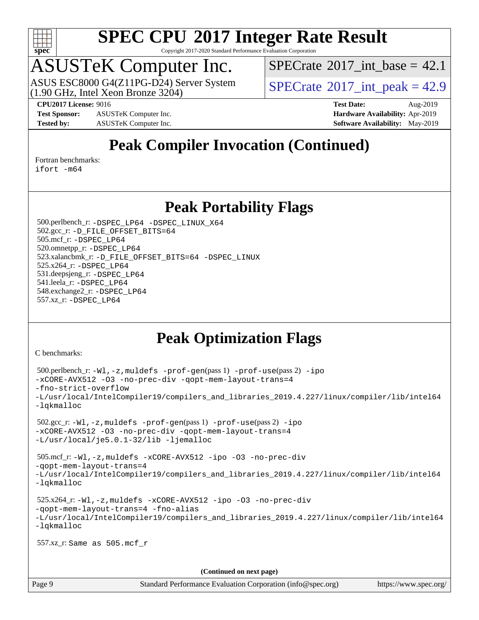

Copyright 2017-2020 Standard Performance Evaluation Corporation

## ASUSTeK Computer Inc.

(1.90 GHz, Intel Xeon Bronze 3204) ASUS ESC8000 G4(Z11PG-D24) Server System [SPECrate](http://www.spec.org/auto/cpu2017/Docs/result-fields.html#SPECrate2017intpeak)® 2017 int\_peak = 42.9

[SPECrate](http://www.spec.org/auto/cpu2017/Docs/result-fields.html#SPECrate2017intbase)®2017 int\_base = 42.1

**[Test Sponsor:](http://www.spec.org/auto/cpu2017/Docs/result-fields.html#TestSponsor)** ASUSTeK Computer Inc. **[Hardware Availability:](http://www.spec.org/auto/cpu2017/Docs/result-fields.html#HardwareAvailability)** Apr-2019 **[Tested by:](http://www.spec.org/auto/cpu2017/Docs/result-fields.html#Testedby)** ASUSTeK Computer Inc. **[Software Availability:](http://www.spec.org/auto/cpu2017/Docs/result-fields.html#SoftwareAvailability)** May-2019

**[CPU2017 License:](http://www.spec.org/auto/cpu2017/Docs/result-fields.html#CPU2017License)** 9016 **[Test Date:](http://www.spec.org/auto/cpu2017/Docs/result-fields.html#TestDate)** Aug-2019

## **[Peak Compiler Invocation \(Continued\)](http://www.spec.org/auto/cpu2017/Docs/result-fields.html#PeakCompilerInvocation)**

[Fortran benchmarks](http://www.spec.org/auto/cpu2017/Docs/result-fields.html#Fortranbenchmarks):

[ifort -m64](http://www.spec.org/cpu2017/results/res2019q3/cpu2017-20190826-17235.flags.html#user_FCpeak_intel_ifort_64bit_24f2bb282fbaeffd6157abe4f878425411749daecae9a33200eee2bee2fe76f3b89351d69a8130dd5949958ce389cf37ff59a95e7a40d588e8d3a57e0c3fd751)

#### **[Peak Portability Flags](http://www.spec.org/auto/cpu2017/Docs/result-fields.html#PeakPortabilityFlags)**

 500.perlbench\_r: [-DSPEC\\_LP64](http://www.spec.org/cpu2017/results/res2019q3/cpu2017-20190826-17235.flags.html#b500.perlbench_r_peakPORTABILITY_DSPEC_LP64) [-DSPEC\\_LINUX\\_X64](http://www.spec.org/cpu2017/results/res2019q3/cpu2017-20190826-17235.flags.html#b500.perlbench_r_peakCPORTABILITY_DSPEC_LINUX_X64) 502.gcc\_r: [-D\\_FILE\\_OFFSET\\_BITS=64](http://www.spec.org/cpu2017/results/res2019q3/cpu2017-20190826-17235.flags.html#user_peakPORTABILITY502_gcc_r_file_offset_bits_64_5ae949a99b284ddf4e95728d47cb0843d81b2eb0e18bdfe74bbf0f61d0b064f4bda2f10ea5eb90e1dcab0e84dbc592acfc5018bc955c18609f94ddb8d550002c) 505.mcf\_r: [-DSPEC\\_LP64](http://www.spec.org/cpu2017/results/res2019q3/cpu2017-20190826-17235.flags.html#suite_peakPORTABILITY505_mcf_r_DSPEC_LP64) 520.omnetpp\_r: [-DSPEC\\_LP64](http://www.spec.org/cpu2017/results/res2019q3/cpu2017-20190826-17235.flags.html#suite_peakPORTABILITY520_omnetpp_r_DSPEC_LP64) 523.xalancbmk\_r: [-D\\_FILE\\_OFFSET\\_BITS=64](http://www.spec.org/cpu2017/results/res2019q3/cpu2017-20190826-17235.flags.html#user_peakPORTABILITY523_xalancbmk_r_file_offset_bits_64_5ae949a99b284ddf4e95728d47cb0843d81b2eb0e18bdfe74bbf0f61d0b064f4bda2f10ea5eb90e1dcab0e84dbc592acfc5018bc955c18609f94ddb8d550002c) [-DSPEC\\_LINUX](http://www.spec.org/cpu2017/results/res2019q3/cpu2017-20190826-17235.flags.html#b523.xalancbmk_r_peakCXXPORTABILITY_DSPEC_LINUX) 525.x264\_r: [-DSPEC\\_LP64](http://www.spec.org/cpu2017/results/res2019q3/cpu2017-20190826-17235.flags.html#suite_peakPORTABILITY525_x264_r_DSPEC_LP64) 531.deepsjeng\_r: [-DSPEC\\_LP64](http://www.spec.org/cpu2017/results/res2019q3/cpu2017-20190826-17235.flags.html#suite_peakPORTABILITY531_deepsjeng_r_DSPEC_LP64) 541.leela\_r: [-DSPEC\\_LP64](http://www.spec.org/cpu2017/results/res2019q3/cpu2017-20190826-17235.flags.html#suite_peakPORTABILITY541_leela_r_DSPEC_LP64) 548.exchange2\_r: [-DSPEC\\_LP64](http://www.spec.org/cpu2017/results/res2019q3/cpu2017-20190826-17235.flags.html#suite_peakPORTABILITY548_exchange2_r_DSPEC_LP64) 557.xz\_r: [-DSPEC\\_LP64](http://www.spec.org/cpu2017/results/res2019q3/cpu2017-20190826-17235.flags.html#suite_peakPORTABILITY557_xz_r_DSPEC_LP64)

## **[Peak Optimization Flags](http://www.spec.org/auto/cpu2017/Docs/result-fields.html#PeakOptimizationFlags)**

[C benchmarks](http://www.spec.org/auto/cpu2017/Docs/result-fields.html#Cbenchmarks):

```
 500.perlbench_r: -Wl,-z,muldefs -prof-gen(pass 1) -prof-use(pass 2) -ipo
-xCORE-AVX512 -O3 -no-prec-div -qopt-mem-layout-trans=4
-fno-strict-overflow
-L/usr/local/IntelCompiler19/compilers_and_libraries_2019.4.227/linux/compiler/lib/intel64
-lqkmalloc
 502.gcc_r: -Wl,-z,muldefs -prof-gen(pass 1) -prof-use(pass 2) -ipo
-xCORE-AVX512 -O3 -no-prec-div -qopt-mem-layout-trans=4
-L/usr/local/je5.0.1-32/lib -ljemalloc
 505.mcf_r: -Wl,-z,muldefs -xCORE-AVX512 -ipo -O3 -no-prec-div
-qopt-mem-layout-trans=4
-L/usr/local/IntelCompiler19/compilers_and_libraries_2019.4.227/linux/compiler/lib/intel64
-lqkmalloc
 525.x264_r: -Wl,-z,muldefs -xCORE-AVX512 -ipo -O3 -no-prec-div
-qopt-mem-layout-trans=4 -fno-alias
-L/usr/local/IntelCompiler19/compilers_and_libraries_2019.4.227/linux/compiler/lib/intel64
-lqkmalloc
 557.xz_r: Same as 505.mcf_r
                                      (Continued on next page)
```